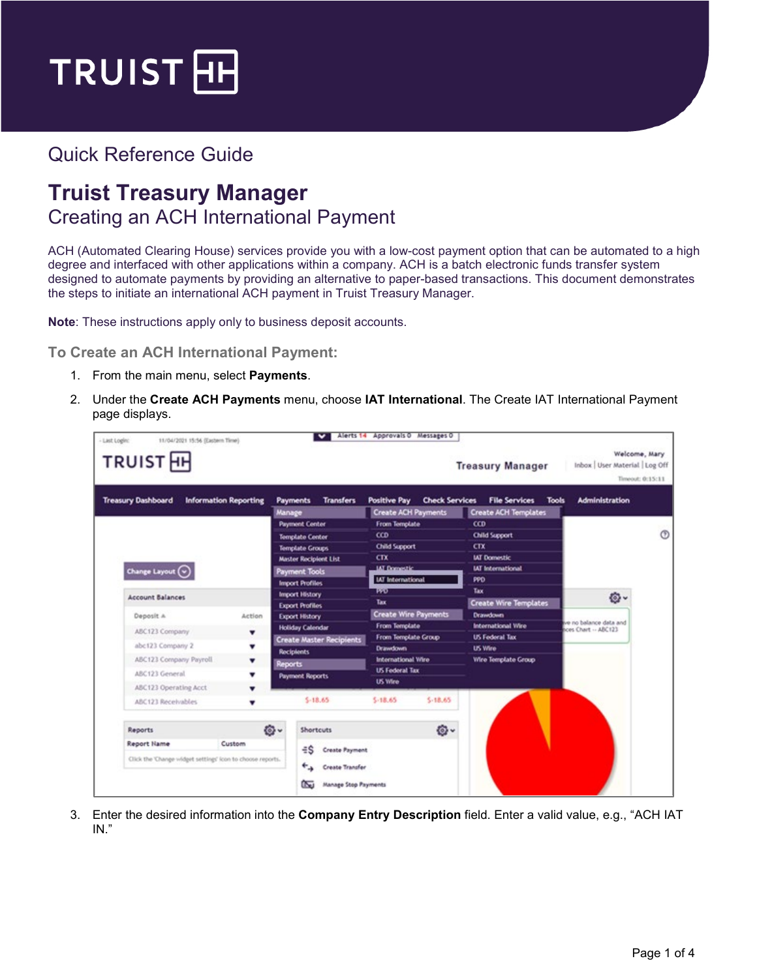

## Quick Reference Guide

## **Truist Treasury Manager** Creating an ACH International Payment

ACH (Automated Clearing House) services provide you with a low-cost payment option that can be automated to a high degree and interfaced with other applications within a company. ACH is a batch electronic funds transfer system designed to automate payments by providing an alternative to paper-based transactions. This document demonstrates the steps to initiate an international ACH payment in Truist Treasury Manager.

**Note**: These instructions apply only to business deposit accounts.

**To Create an ACH International Payment:**

- 1. From the main menu, select **Payments**.
- 2. Under the **Create ACH Payments** menu, choose **IAT International**. The Create IAT International Payment page displays.

| <b>Treasury Dashboard</b> | <b>Information Reporting</b> | <b>Transfers</b><br><b>Payments</b><br>Manage          | <b>Positive Pay</b><br><b>Check Services</b><br><b>Create ACH Payments</b> | <b>File Services</b><br><b>Tools</b><br><b>Create ACH Templates</b> | <b>Administration</b>                        |  |
|---------------------------|------------------------------|--------------------------------------------------------|----------------------------------------------------------------------------|---------------------------------------------------------------------|----------------------------------------------|--|
|                           |                              | <b>Payment Center</b>                                  | <b>From Template</b><br><b>CCD</b>                                         | ccD<br><b>Child Support</b>                                         |                                              |  |
|                           |                              | <b>Template Center</b>                                 | <b>Child Support</b>                                                       | CTX                                                                 |                                              |  |
|                           |                              | <b>Template Groups</b><br><b>Master Recipient List</b> | CTX                                                                        | <b>UJ</b> Domestic                                                  |                                              |  |
| Change Layout $\bigodot$  |                              | Payment Tools                                          | <b>IAT Domestic</b>                                                        | <b>IAT International</b>                                            |                                              |  |
|                           |                              | <b>Import Profiles</b>                                 | <b>IAT International</b>                                                   | PPD                                                                 |                                              |  |
| <b>Account Balances</b>   |                              | Import History                                         | দশত                                                                        | Tax                                                                 | O-                                           |  |
|                           |                              | <b>Export Profiles</b>                                 | Tax                                                                        | <b>Create Wire Templates</b>                                        |                                              |  |
| Deposit A                 | Action                       | <b>Export History</b>                                  | <b>Create Wire Payments</b>                                                | <b>Drawdown</b>                                                     | e no balance data and<br>ces Chart -- ABC123 |  |
| ABC123 Company            | ۰                            | <b>Holiday Calendar</b>                                | <b>From Template</b>                                                       | <b>International Wire</b>                                           |                                              |  |
| abc123 Company 2          | v                            | <b>Create Master Recipients</b>                        | From Template Group<br><b>Drawdown</b>                                     | <b>US Federal Tax</b><br><b>US Wire</b>                             |                                              |  |
| ABC123 Company Payroll.   | ▼                            | <b>Recipients</b>                                      | International Wire                                                         | <b>Wire Template Group</b>                                          |                                              |  |
| ABC123 General            |                              | Reports<br><b>Payment Reports</b>                      | <b>US Federal Tax</b>                                                      |                                                                     |                                              |  |
| ABC123 Operating Acct     |                              |                                                        | <b>US Wire</b>                                                             |                                                                     |                                              |  |
| ABC123 Receivables        |                              | $$-18.65$                                              | $5 - 18.65$<br>$5 - 18.65$                                                 |                                                                     |                                              |  |
| Reports                   | O-                           | <b>Shortcuts</b>                                       | ø.                                                                         |                                                                     |                                              |  |
|                           |                              |                                                        |                                                                            |                                                                     |                                              |  |

3. Enter the desired information into the **Company Entry Description** field. Enter a valid value, e.g., "ACH IAT IN."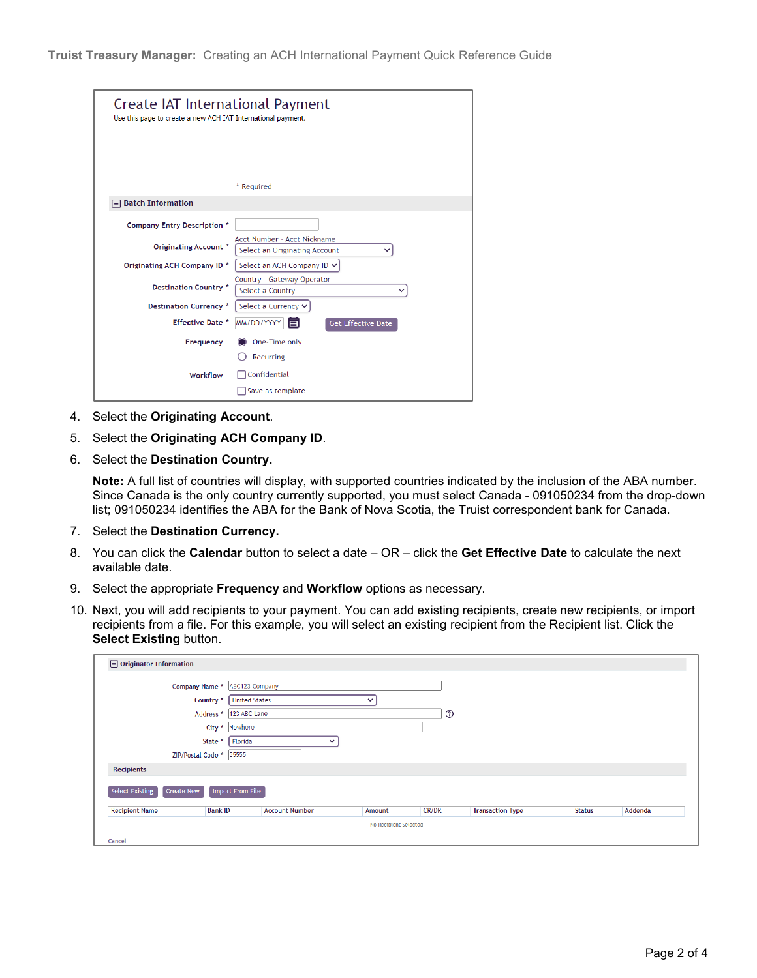| Create IAT International Payment<br>Use this page to create a new ACH IAT International payment. |                                                              |
|--------------------------------------------------------------------------------------------------|--------------------------------------------------------------|
|                                                                                                  | * Required                                                   |
| <b>Batch Information</b>                                                                         |                                                              |
| Company Entry Description *                                                                      |                                                              |
| Originating Account *                                                                            | Acct Number - Acct Nickname<br>Select an Originating Account |
| Originating ACH Company ID *                                                                     | Select an ACH Company ID ∨                                   |
| <b>Destination Country *</b>                                                                     | Country - Gateway Operator<br>Select a Country               |
| <b>Destination Currency *</b>                                                                    | Select a Currency ∨                                          |
| <b>Effective Date *</b>                                                                          | MM/DD/YYYY<br><b>Get Effective Date</b>                      |
| Frequency                                                                                        | One-Time only                                                |
| Workflow                                                                                         | Recurring<br>Confidential<br>Save as template                |

- 4. Select the **Originating Account**.
- 5. Select the **Originating ACH Company ID**.
- 6. Select the **Destination Country.**

**Note:** A full list of countries will display, with supported countries indicated by the inclusion of the ABA number. Since Canada is the only country currently supported, you must select Canada - 091050234 from the drop-down list; 091050234 identifies the ABA for the Bank of Nova Scotia, the Truist correspondent bank for Canada.

- 7. Select the **Destination Currency.**
- 8. You can click the **Calendar** button to select a date OR click the **Get Effective Date** to calculate the next available date.
- 9. Select the appropriate **Frequency** and **Workflow** options as necessary.
- 10. Next, you will add recipients to your payment. You can add existing recipients, create new recipients, or import recipients from a file. For this example, you will select an existing recipient from the Recipient list. Click the **Select Existing button.**

| <b>Recipient Name</b>                | <b>Bank ID</b>             | <b>Account Number</b> | Amount       | <b>CR/DR</b> | <b>Transaction Type</b> | <b>Status</b> | Addenda |
|--------------------------------------|----------------------------|-----------------------|--------------|--------------|-------------------------|---------------|---------|
| Select Existing<br><b>Create New</b> | <b>Import From File</b>    |                       |              |              |                         |               |         |
| <b>Recipients</b>                    |                            |                       |              |              |                         |               |         |
|                                      | 55555<br>ZIP/Postal Code * |                       |              |              |                         |               |         |
|                                      | Florida<br>State *         |                       |              |              |                         |               |         |
| Nowhere<br>City *                    |                            |                       |              |              |                         |               |         |
|                                      | Address *  123 ABC Lane    |                       |              | $^{\circ}$   |                         |               |         |
|                                      | Country *                  | <b>United States</b>  | $\checkmark$ |              |                         |               |         |
|                                      | Company Name *             | ABC123 Company        |              |              |                         |               |         |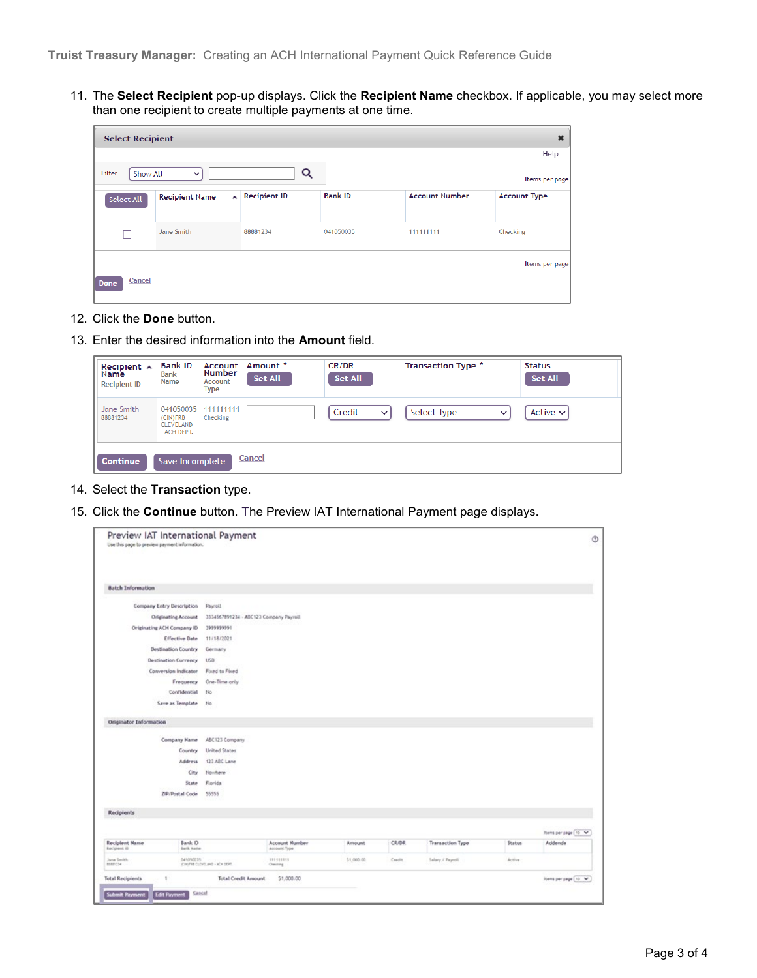11. The **Select Recipient** pop-up displays. Click the **Recipient Name** checkbox. If applicable, you may select more than one recipient to create multiple payments at one time.

| $\boldsymbol{\mathsf{x}}$<br><b>Select Recipient</b> |                       |              |                |                       |                     |  |  |  |
|------------------------------------------------------|-----------------------|--------------|----------------|-----------------------|---------------------|--|--|--|
|                                                      |                       |              |                |                       | Help                |  |  |  |
| Filter<br>Show All                                   | $\checkmark$          | Q            |                |                       | Items per page      |  |  |  |
| Select All                                           | <b>Recipient Name</b> | Recipient ID | <b>Bank ID</b> | <b>Account Number</b> | <b>Account Type</b> |  |  |  |
|                                                      | Jane Smith            | 88881234     | 041050035      | 111111111             | Checking            |  |  |  |
| Cancel<br>Done                                       |                       |              |                |                       | Items per page      |  |  |  |

- 12. Click the **Done** button.
- 13. Enter the desired information into the **Amount** field.

| Recipient A<br><b>Name</b><br><b>Recipient ID</b> | <b>Bank ID</b><br><b>Bank</b><br>Name             | Account<br>Number<br>Account<br>Type | Amount *<br><b>Set All</b> | <b>CR/DR</b><br>Set All | Transaction Type *          | <b>Status</b><br><b>Set All</b> |
|---------------------------------------------------|---------------------------------------------------|--------------------------------------|----------------------------|-------------------------|-----------------------------|---------------------------------|
| Jane Smith<br>88881234                            | 041050035<br>(CIN)FRB<br>CLEVELAND<br>- ACH DEPT. | 111111111<br>Checking                |                            | Credit<br>$\checkmark$  | Select Type<br>$\checkmark$ | Active $\sim$                   |
| Continue                                          | Save Incomplete                                   |                                      | Cancel                     |                         |                             |                                 |

- 14. Select the **Transaction** type.
- 15. Click the **Continue** button. The Preview IAT International Payment page displays.

| Preview IAT International Payment<br>Use this page to preview payment information. |                                        |                                 |               |              |                         |               | $\circ$              |
|------------------------------------------------------------------------------------|----------------------------------------|---------------------------------|---------------|--------------|-------------------------|---------------|----------------------|
| <b>Batch Information</b>                                                           |                                        |                                 |               |              |                         |               |                      |
| Company Entry Description                                                          | Payroll                                |                                 |               |              |                         |               |                      |
| Originating Account                                                                | 3334567891234 - ABC123 Company Payroll |                                 |               |              |                         |               |                      |
| Originating ACH Company ID                                                         | 1999999991                             |                                 |               |              |                         |               |                      |
| <b>Effective Date</b>                                                              | 11/18/2021                             |                                 |               |              |                         |               |                      |
| <b>Destination Country</b>                                                         | Germany                                |                                 |               |              |                         |               |                      |
| <b>Destination Currency</b>                                                        | <b>USD</b>                             |                                 |               |              |                         |               |                      |
| Conversion Indicator                                                               | Fixed to Fixed                         |                                 |               |              |                         |               |                      |
| Frequency                                                                          | One-Time only                          |                                 |               |              |                         |               |                      |
| Confidential                                                                       | No                                     |                                 |               |              |                         |               |                      |
| Save as Template                                                                   | No                                     |                                 |               |              |                         |               |                      |
| Originator Information                                                             |                                        |                                 |               |              |                         |               |                      |
| Company Name                                                                       | ABC123 Company                         |                                 |               |              |                         |               |                      |
| Country                                                                            | <b>United States</b>                   |                                 |               |              |                         |               |                      |
| Address                                                                            | 123 ABC Lane                           |                                 |               |              |                         |               |                      |
| City                                                                               | Nowhere                                |                                 |               |              |                         |               |                      |
| State                                                                              | Florida                                |                                 |               |              |                         |               |                      |
| ZIP/Postal Code                                                                    | 55555                                  |                                 |               |              |                         |               |                      |
| <b>Recipients</b>                                                                  |                                        |                                 |               |              |                         |               |                      |
|                                                                                    |                                        |                                 |               |              |                         |               | hem per page 10 M    |
| <b>Recipient Name</b><br>Bank ID<br>Recipient (0)<br><b>Bank Hame</b>              |                                        | Account Number<br>Account Type: | <b>Amount</b> | <b>CR/DR</b> | <b>Transaction Type</b> | <b>Status</b> | Addenda              |
| Jane Smith<br>041050035<br>89881034                                                | (CHOPRO CLEVELAND - ACH DEPT.)         | 511111111<br>Cheiding           | \$1,000.00    | Credit       | Salary / Payroll        | Active        |                      |
| <b>Total Recipients</b><br>٠                                                       | <b>Total Credit Amount</b>             | \$1,000.00                      |               |              |                         |               | thems per page [10 V |